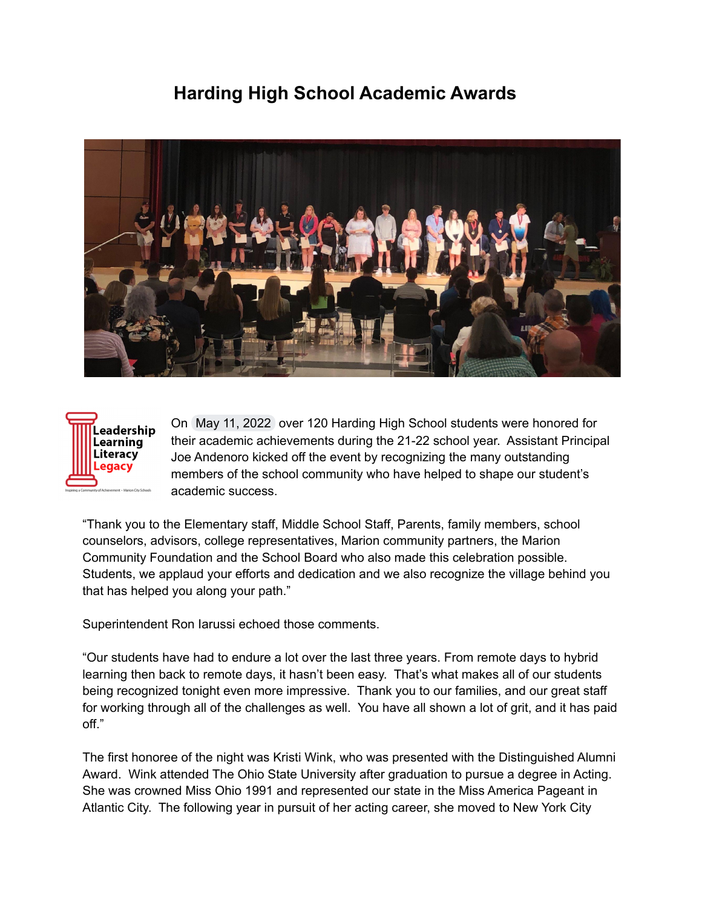## **Harding High School Academic Awards**





On May 11, 2022 over 120 Harding High School students were honored for their academic achievements during the 21-22 school year. Assistant Principal Joe Andenoro kicked off the event by recognizing the many outstanding members of the school community who have helped to shape our student's academic success.

"Thank you to the Elementary staff, Middle School Staff, Parents, family members, school counselors, advisors, college representatives, Marion community partners, the Marion Community Foundation and the School Board who also made this celebration possible. Students, we applaud your efforts and dedication and we also recognize the village behind you that has helped you along your path."

Superintendent Ron Iarussi echoed those comments.

"Our students have had to endure a lot over the last three years. From remote days to hybrid learning then back to remote days, it hasn't been easy. That's what makes all of our students being recognized tonight even more impressive. Thank you to our families, and our great staff for working through all of the challenges as well. You have all shown a lot of grit, and it has paid off."

The first honoree of the night was Kristi Wink, who was presented with the Distinguished Alumni Award. Wink attended The Ohio State University after graduation to pursue a degree in Acting. She was crowned Miss Ohio 1991 and represented our state in the Miss America Pageant in Atlantic City. The following year in pursuit of her acting career, she moved to New York City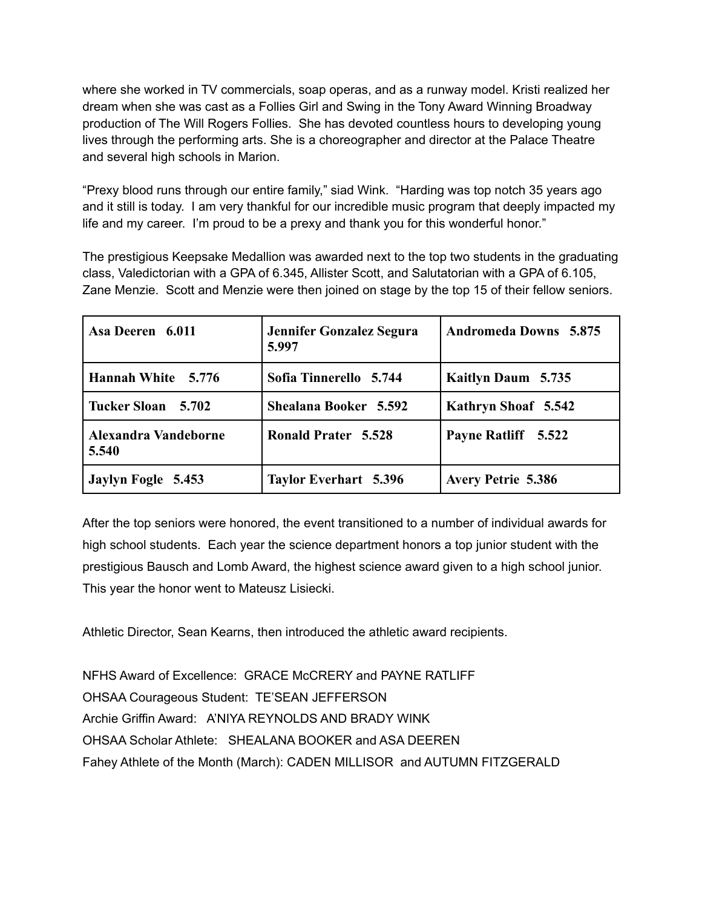where she worked in TV commercials, soap operas, and as a runway model. Kristi realized her dream when she was cast as a Follies Girl and Swing in the Tony Award Winning Broadway production of The Will Rogers Follies. She has devoted countless hours to developing young lives through the performing arts. She is a choreographer and director at the Palace Theatre and several high schools in Marion.

"Prexy blood runs through our entire family," siad Wink. "Harding was top notch 35 years ago and it still is today. I am very thankful for our incredible music program that deeply impacted my life and my career. I'm proud to be a prexy and thank you for this wonderful honor."

The prestigious Keepsake Medallion was awarded next to the top two students in the graduating class, Valedictorian with a GPA of 6.345, Allister Scott, and Salutatorian with a GPA of 6.105, Zane Menzie. Scott and Menzie were then joined on stage by the top 15 of their fellow seniors.

| Asa Deeren 6.011              | Jennifer Gonzalez Segura<br>5.997 | <b>Andromeda Downs</b> 5.875 |
|-------------------------------|-----------------------------------|------------------------------|
| Hannah White 5.776            | Sofia Tinnerello 5.744            | Kaitlyn Daum 5.735           |
| Tucker Sloan 5.702            | Shealana Booker 5.592             | Kathryn Shoaf 5.542          |
| Alexandra Vandeborne<br>5.540 | <b>Ronald Prater 5.528</b>        | Payne Ratliff 5.522          |
| Jaylyn Fogle 5.453            | <b>Taylor Everhart 5.396</b>      | <b>Avery Petrie 5.386</b>    |

After the top seniors were honored, the event transitioned to a number of individual awards for high school students. Each year the science department honors a top junior student with the prestigious Bausch and Lomb Award, the highest science award given to a high school junior. This year the honor went to Mateusz Lisiecki.

Athletic Director, Sean Kearns, then introduced the athletic award recipients.

NFHS Award of Excellence: GRACE McCRERY and PAYNE RATLIFF OHSAA Courageous Student: TE'SEAN JEFFERSON Archie Griffin Award: A'NIYA REYNOLDS AND BRADY WINK OHSAA Scholar Athlete: SHEALANA BOOKER and ASA DEEREN Fahey Athlete of the Month (March): CADEN MILLISOR and AUTUMN FITZGERALD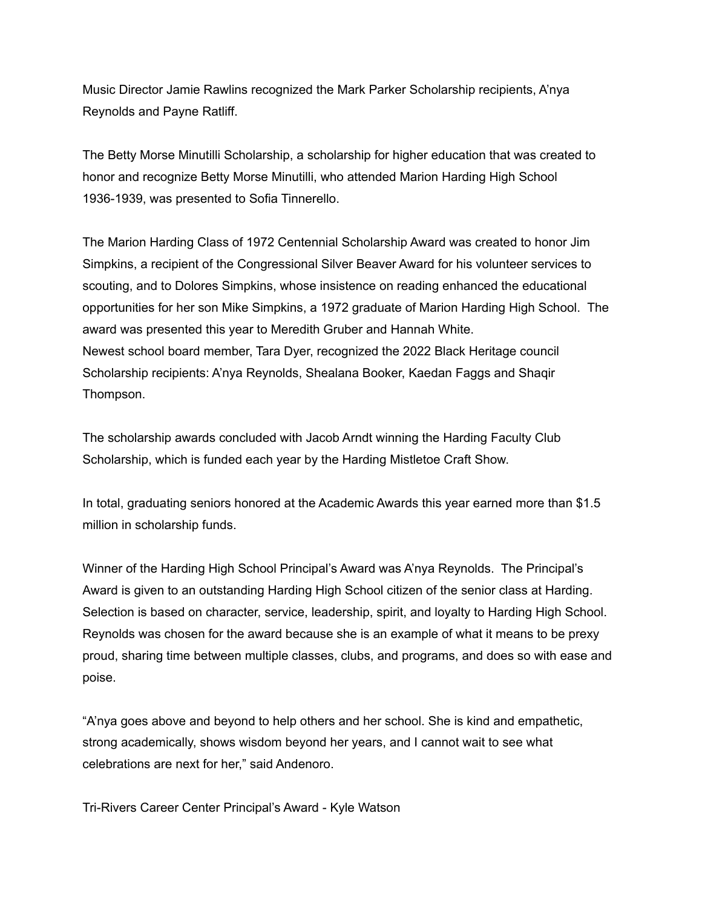Music Director Jamie Rawlins recognized the Mark Parker Scholarship recipients, A'nya Reynolds and Payne Ratliff.

The Betty Morse Minutilli Scholarship, a scholarship for higher education that was created to honor and recognize Betty Morse Minutilli, who attended Marion Harding High School 1936-1939, was presented to Sofia Tinnerello.

The Marion Harding Class of 1972 Centennial Scholarship Award was created to honor Jim Simpkins, a recipient of the Congressional Silver Beaver Award for his volunteer services to scouting, and to Dolores Simpkins, whose insistence on reading enhanced the educational opportunities for her son Mike Simpkins, a 1972 graduate of Marion Harding High School. The award was presented this year to Meredith Gruber and Hannah White. Newest school board member, Tara Dyer, recognized the 2022 Black Heritage council Scholarship recipients: A'nya Reynolds, Shealana Booker, Kaedan Faggs and Shaqir Thompson.

The scholarship awards concluded with Jacob Arndt winning the Harding Faculty Club Scholarship, which is funded each year by the Harding Mistletoe Craft Show.

In total, graduating seniors honored at the Academic Awards this year earned more than \$1.5 million in scholarship funds.

Winner of the Harding High School Principal's Award was A'nya Reynolds. The Principal's Award is given to an outstanding Harding High School citizen of the senior class at Harding. Selection is based on character, service, leadership, spirit, and loyalty to Harding High School. Reynolds was chosen for the award because she is an example of what it means to be prexy proud, sharing time between multiple classes, clubs, and programs, and does so with ease and poise.

"A'nya goes above and beyond to help others and her school. She is kind and empathetic, strong academically, shows wisdom beyond her years, and I cannot wait to see what celebrations are next for her," said Andenoro.

Tri-Rivers Career Center Principal's Award - Kyle Watson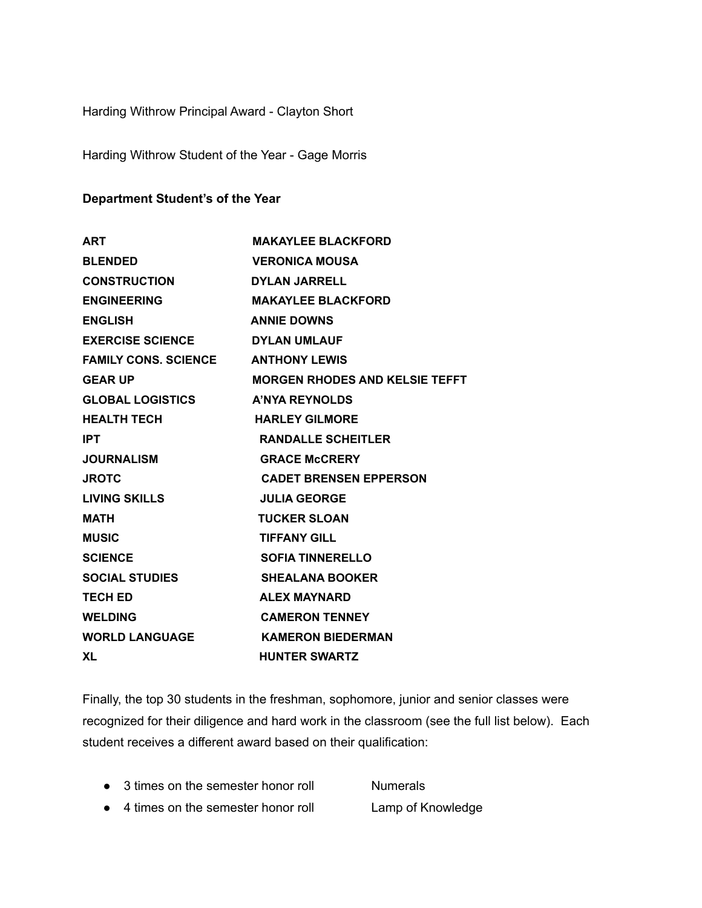Harding Withrow Principal Award - Clayton Short

Harding Withrow Student of the Year - Gage Morris

#### **Department Student's of the Year**

| <b>ART</b>                  | <b>MAKAYLEE BLACKFORD</b>             |  |
|-----------------------------|---------------------------------------|--|
| <b>BLENDED</b>              | <b>VERONICA MOUSA</b>                 |  |
| <b>CONSTRUCTION</b>         | <b>DYLAN JARRELL</b>                  |  |
| <b>ENGINEERING</b>          | <b>MAKAYLEE BLACKFORD</b>             |  |
| <b>ENGLISH</b>              | <b>ANNIE DOWNS</b>                    |  |
| <b>EXERCISE SCIENCE</b>     | <b>DYLAN UMLAUF</b>                   |  |
| <b>FAMILY CONS. SCIENCE</b> | <b>ANTHONY LEWIS</b>                  |  |
| <b>GEAR UP</b>              | <b>MORGEN RHODES AND KELSIE TEFFT</b> |  |
| <b>GLOBAL LOGISTICS</b>     | <b>A'NYA REYNOLDS</b>                 |  |
| <b>HEALTH TECH</b>          | <b>HARLEY GILMORE</b>                 |  |
| <b>IPT</b>                  | <b>RANDALLE SCHEITLER</b>             |  |
| <b>JOURNALISM</b>           | <b>GRACE McCRERY</b>                  |  |
| <b>JROTC</b>                | <b>CADET BRENSEN EPPERSON</b>         |  |
| LIVING SKILLS               | <b>JULIA GEORGE</b>                   |  |
| <b>MATH</b>                 | <b>TUCKER SLOAN</b>                   |  |
| <b>MUSIC</b>                | <b>TIFFANY GILL</b>                   |  |
| <b>SCIENCE</b>              | <b>SOFIA TINNERELLO</b>               |  |
| <b>SOCIAL STUDIES</b>       | <b>SHEALANA BOOKER</b>                |  |
| <b>TECH ED</b>              | <b>ALEX MAYNARD</b>                   |  |
| <b>WELDING</b>              | <b>CAMERON TENNEY</b>                 |  |
| <b>WORLD LANGUAGE</b>       | <b>KAMERON BIEDERMAN</b>              |  |
| <b>XL</b>                   | <b>HUNTER SWARTZ</b>                  |  |

Finally, the top 30 students in the freshman, sophomore, junior and senior classes were recognized for their diligence and hard work in the classroom (see the full list below). Each student receives a different award based on their qualification:

- 3 times on the semester honor roll Numerals
- 4 times on the semester honor roll Lamp of Knowledge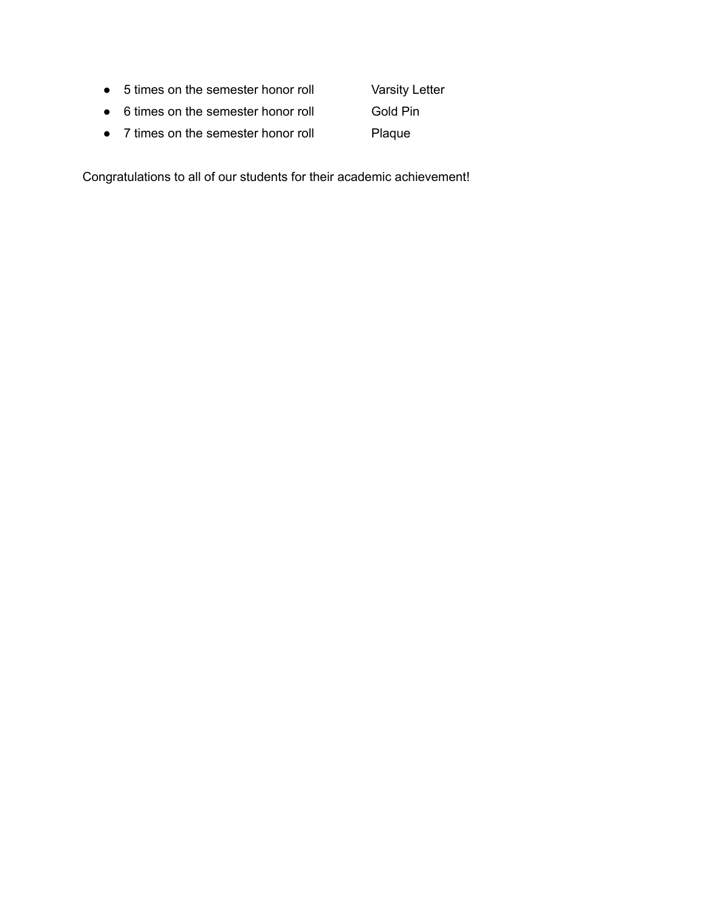● 5 times on the semester honor roll Varsity Letter

● 6 times on the semester honor roll Gold Pin

● 7 times on the semester honor roll Plaque

Congratulations to all of our students for their academic achievement!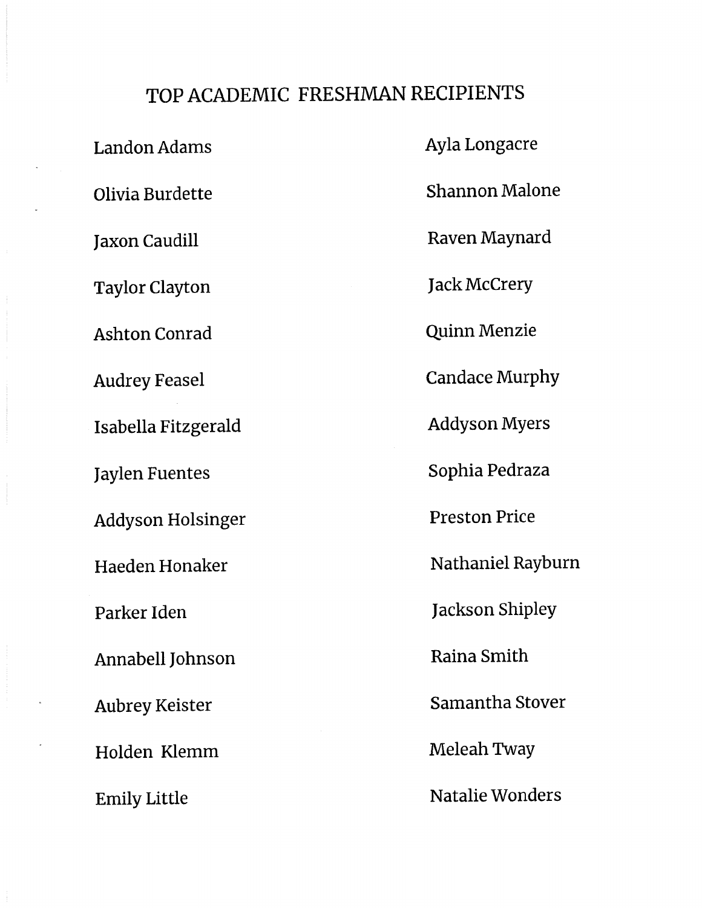# TOP ACADEMIC FRESHMAN RECIPIENTS

**Landon Adams** Olivia Burdette **Jaxon Caudill Taylor Clayton Ashton Conrad Audrey Feasel** Isabella Fitzgerald **Jaylen Fuentes Addyson Holsinger** Haeden Honaker Parker Iden Annabell Johnson **Aubrey Keister** Holden Klemm **Emily Little** 

Ayla Longacre **Shannon Malone** Raven Maynard **Jack McCrery Quinn Menzie Candace Murphy Addyson Myers** Sophia Pedraza **Preston Price** Nathaniel Rayburn **Jackson Shipley** Raina Smith Samantha Stover Meleah Tway Natalie Wonders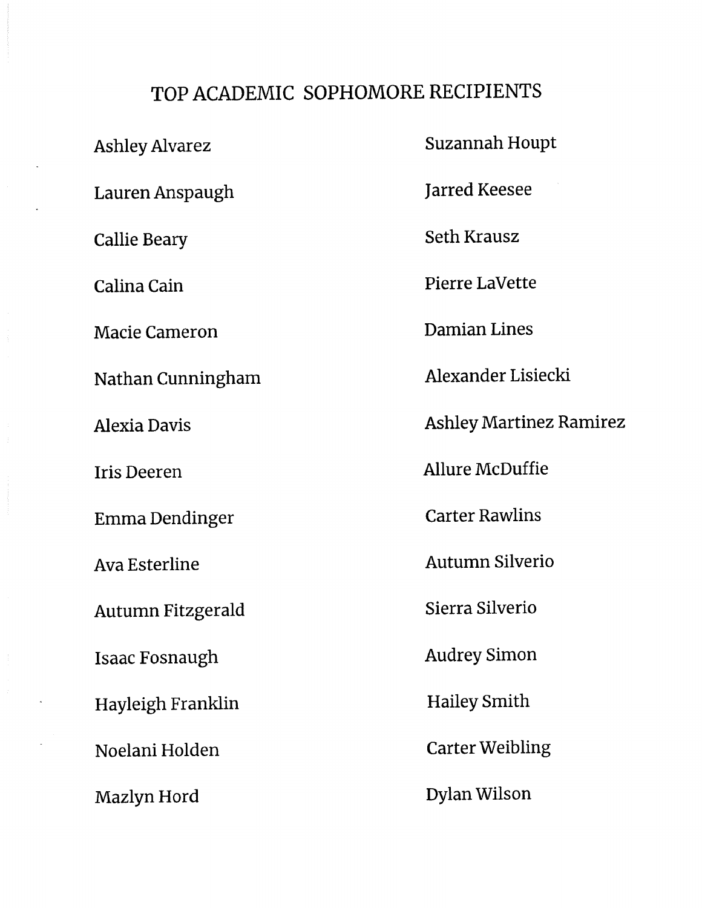### TOP ACADEMIC SOPHOMORE RECIPIENTS

**Ashley Alvarez** Lauren Anspaugh **Callie Beary** Calina Cain **Macie Cameron** Nathan Cunningham **Alexia Davis Iris Deeren Emma Dendinger Ava Esterline** Autumn Fitzgerald **Isaac Fosnaugh** Hayleigh Franklin Noelani Holden Mazlyn Hord

Suzannah Houpt **Jarred Keesee Seth Krausz** Pierre LaVette Damian Lines Alexander Lisiecki **Ashley Martinez Ramirez** Allure McDuffie **Carter Rawlins Autumn Silverio** Sierra Silverio **Audrey Simon Hailey Smith Carter Weibling Dylan Wilson**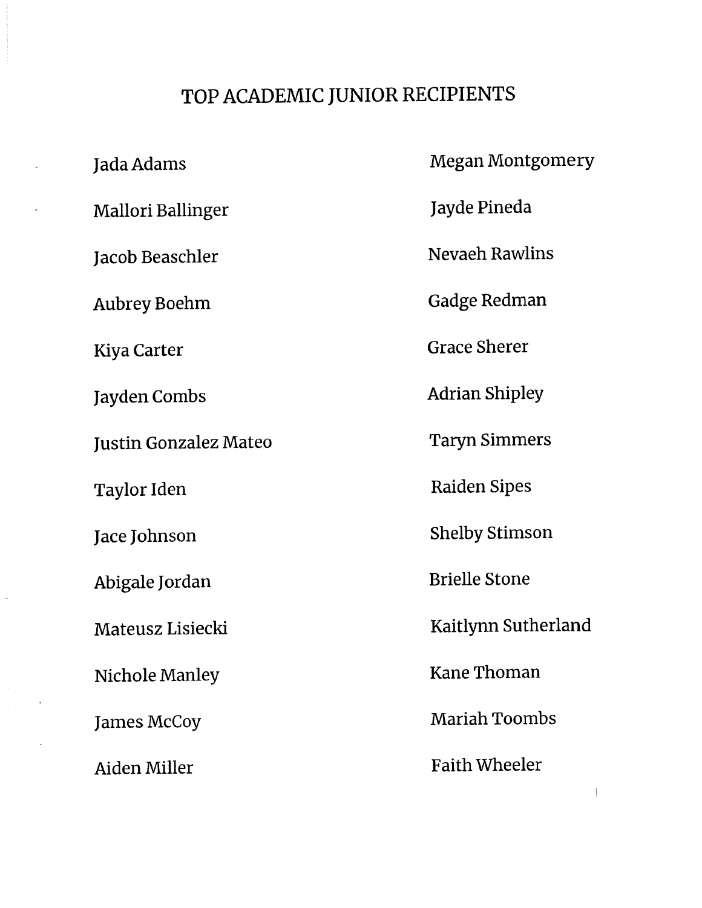#### TOP ACADEMIC JUNIOR RECIPIENTS

Jada Adams **Mallori Ballinger** Jacob Beaschler **Aubrey Boehm Kiya Carter** Jayden Combs **Justin Gonzalez Mateo** Taylor Iden Jace Johnson Abigale Jordan Mateusz Lisiecki Nichole Manley **James McCoy** Aiden Miller

**Megan Montgomery** Jayde Pineda **Nevaeh Rawlins Gadge Redman Grace Sherer Adrian Shipley Taryn Simmers Raiden Sipes Shelby Stimson Brielle Stone** Kaitlynn Sutherland **Kane Thoman Mariah Toombs Faith Wheeler**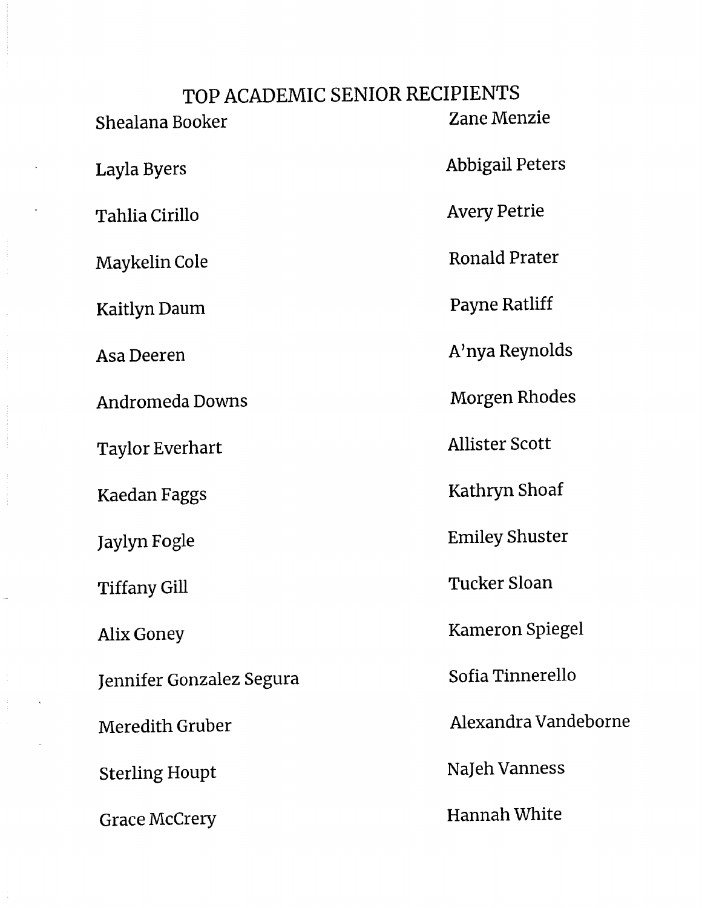## TOP ACADEMIC SENIOR RECIPIENTS Zane Menzie Shealana Booker **Abbigail Peters** Layla Byers **Avery Petrie** Tahlia Cirillo **Ronald Prater** Maykelin Cole Payne Ratliff Kaitlyn Daum A'nya Reynolds Asa Deeren **Morgen Rhodes** Andromeda Downs **Allister Scott Taylor Everhart** Kathryn Shoaf **Kaedan Faggs Emiley Shuster** Jaylyn Fogle **Tucker Sloan Tiffany Gill** Kameron Spiegel **Alix Goney** Sofia Tinnerello Jennifer Gonzalez Segura Alexandra Vandeborne Meredith Gruber NaJeh Vanness **Sterling Houpt Hannah White Grace McCrery**